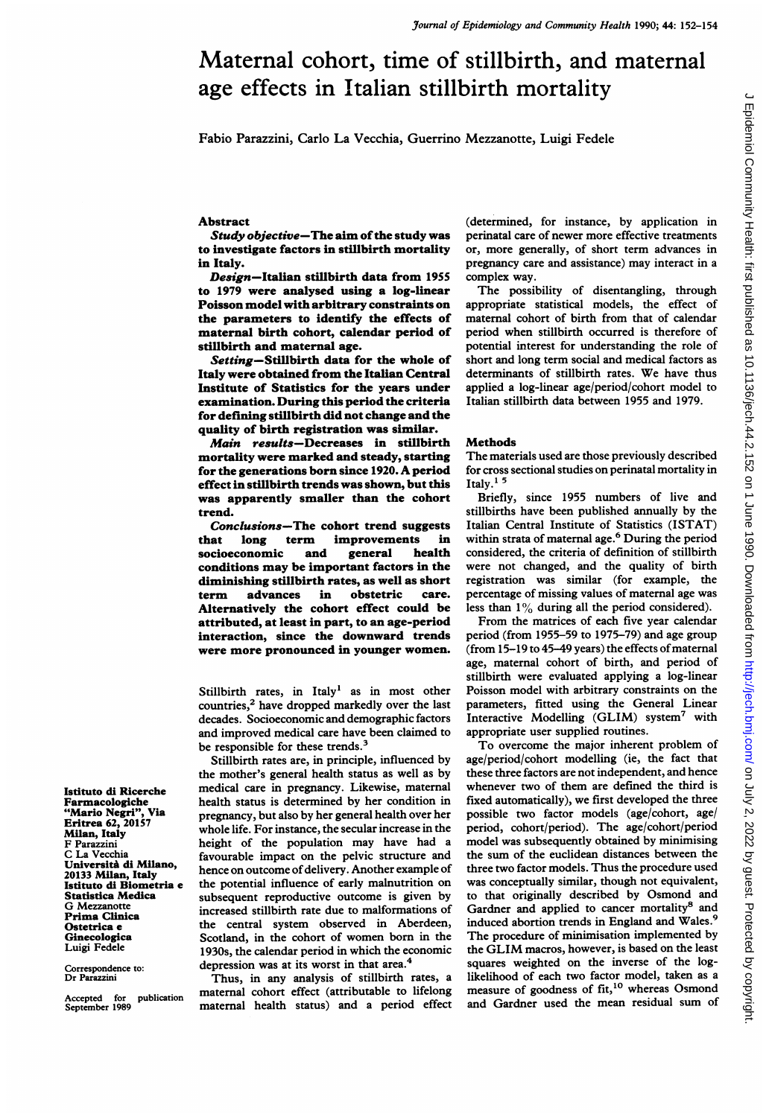# Maternal cohort, time of stillbirth, and maternal age effects in Italian stillbirth mortality

Fabio Parazzini, Carlo La Vecchia, Guerrino Mezzanotte, Luigi Fedele

#### Abstract

Study objective-The aim of the study was to investigate factors in stillbirth mortality in Italy.

Design-Italian stillbirth data from 1955 to 1979 were analysed using a log-linear Poisson model with arbitrary constraints on the parameters to identify the effects of maternal birth cohort, calendar period of stillbirth and maternal age.

Setting-Stillbirth data for the whole of Italy were obtained from the Italian Central Institute of Statistics for the years under examination. During this period the criteria for defining stillbirth did not change and the quality of birth registration was similar.

Main results-Decreases in stillbirth mortality were marked and steady, starting for the generations born since 1920. A period effect in stillbirth trends was shown, but this was apparently smaller than the cohort trend.

Conclusions-The cohort trend suggests that long term improvements in socioeconomic and general health conditions may be important factors in the diminishing stillbirth rates, as well as short term advances in obstetric care. Alternatively the cohort effect could be attributed, at least in part, to an age-period interaction, since the downward trends were more pronounced in younger women.

Stillbirth rates, in Italy' as in most other countries,<sup>2</sup> have dropped markedly over the last decades. Socioeconomic and demographic factors and improved medical care have been claimed to be responsible for these trends.<sup>3</sup>

Stillbirth rates are, in principle, influenced by the mother's general health status as well as by medical care in pregnancy. Likewise, maternal health status is determined by her condition in pregnancy, but also by her general health over her whole life. For instance, the secular increase in the height of the population may have had a favourable impact on the pelvic structure and hence on outcome of delivery. Another example of the potential influence of early malnutrition on subsequent reproductive outcome is given by increased stillbirth rate due to malformations of the central system observed in Aberdeen, Scotland, in the cohort of women born in the 1930s, the calendar period in which the economic depression was at its worst in that area.<sup>4</sup>

Thus, in any analysis of stillbirth rates, a maternal cohort effect (attributable to lifelong maternal health status) and a period effect

(determined, for instance, by application in perinatal care of newer more effective treatments or, more generally, of short term advances in pregnancy care and assistance) may interact in <sup>a</sup> complex way.

The possibility of disentangling, through appropriate statistical models, the effect of maternal cohort of birth from that of calendar period when stillbirth occurred is therefore of potential interest for understanding the role of short and long term social and medical factors as determinants of stillbirth rates. We have thus applied a log-linear age/period/cohort model to Italian stillbirth data between 1955 and 1979.

## Methods

The materials used are those previously described for cross sectional studies on perinatal mortality in Italy.<sup>15</sup>

Briefly, since 1955 numbers of live and stillbirths have been published annually by the Italian Central Institute of Statistics (ISTAT) within strata of maternal age.<sup>6</sup> During the period considered, the criteria of definition of stillbirth were not changed, and the quality of birth registration was similar (for example, the percentage of missing values of maternal age was less than 1% during all the period considered).

From the matrices of each five year calendar period (from 1955-59 to 1975-79) and age group (from  $15-19$  to  $45-49$  years) the effects of maternal age, maternal cohort of birth, and period of stillbirth were evaluated applying a log-linear Poisson model with arbitrary constraints on the parameters, fitted using the General Linear Interactive Modelling (GLIM) system<sup>7</sup> with appropriate user supplied routines.

To overcome the major inherent problem of age/period/cohort modelling (ie, the fact that these three factors are not independent, and hence whenever two of them are defined the third is fixed automatically), we first developed the three possible two factor models (age/cohort, age/ period, cohort/period). The age/cohort/period model was subsequently obtained by minimising the sum of the euclidean distances between the three two factor models. Thus the procedure used was conceptually similar, though not equivalent, to that originally described by Osmond and Gardner and applied to cancer mortality<sup>8</sup> and induced abortion trends in England and Wales.<sup>9</sup> The procedure of minimisation implemented by the GLIM macros, however, is based on the least squares weighted on the inverse of the loglikelihood of each two factor model, taken as a measure of goodness of fit,<sup>10</sup> whereas Osmond and Gardner used the mean residual sum of

Istituto di Ricerche Farmacologiche<br>"Mario Negri", Via "Mario Negri" Eritrea 62, 20157 Milan, Italy F Parazzini C La Vecchia Universit& di Milano, 20133 Milan, Italy Istituto di Biometria e Statistica Medica G Mezzanotte Prima Clinica Ostetrica e Ginecologica Luigi Fedele

Correspondence to: Dr Parazzini

Accepted for publication September 1989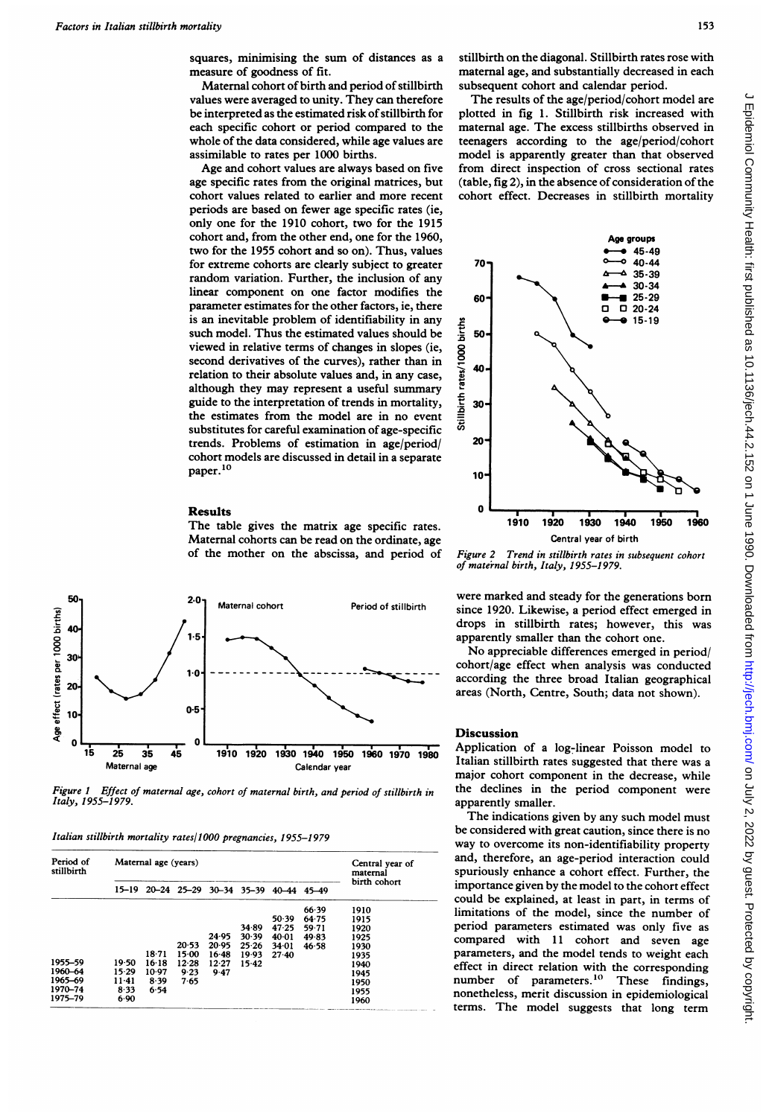squares, minimising the sum of distances as a measure of goodness of fit.

Maternal cohort of birth and period of stillbirth values were averaged to unity. They can therefore be interpreted as the estimated risk of stillbirth for each specific cohort or period compared to the whole of the data considered, while age values are assimilable to rates per 1000 births.

Age and cohort values are always based on five age specific rates from the original matrices, but cohort values related to earlier and more recent periods are based on fewer age specific rates (ie, only one for the 1910 cohort, two for the 1915 cohort and, from the other end, one for the 1960, two for the 1955 cohort and so on). Thus, values for extreme cohorts are clearly subject to greater random variation. Further, the inclusion of any linear component on one factor modifies the parameter estimates for the other factors, ie, there is an inevitable problem of identifiability in any such model. Thus the estimated values should be viewed in relative terms of changes in slopes (ie, second derivatives of the curves), rather than in relation to their absolute values and, in any case, although they may represent <sup>a</sup> useful summary guide to the interpretation of trends in mortality, the estimates from the model are in no event substitutes for careful examination of age-specific trends. Problems of estimation in age/period/ cohort models are discussed in detail in a separate paper.<sup>10</sup>

#### Results

The table gives the matrix age specific rates. Maternal cohorts can be read on the ordinate, age of the mother on the abscissa, and period of



Figure <sup>I</sup> Effect of maternal age, cohort of maternal birth, and period of stillbirth in Italy, 1955-1979.

Italian stillbirth mortality rates/1OO0 pregnancies, 1955-1979

| Period of<br>stillbirth | Maternal age (years) |         |         |         |                                           |         |       | Central year of<br>maternal |
|-------------------------|----------------------|---------|---------|---------|-------------------------------------------|---------|-------|-----------------------------|
|                         |                      |         |         |         | 15-19 20-24 25-29 30-34 35-39 40-44 45-49 |         |       | birth cohort                |
|                         |                      |         |         |         |                                           |         | 66.39 | 1910                        |
|                         |                      |         |         |         |                                           | 50.39   | 64.75 | 1915                        |
|                         |                      |         |         |         | 34.89                                     | 47.25   | 59.71 | 1920                        |
|                         |                      |         |         | 24.95   | 30.39                                     | 40.01   | 49.83 | 1925                        |
|                         |                      |         | 20.53   | 20.95   | 25.26                                     | 34.01   | 46.58 | 1930                        |
|                         |                      | $18-71$ | $15-00$ | $16-48$ | 19.93                                     | $27-40$ |       | 1935                        |
| 1955-59                 | 19.50                | 16.18   | 12.28   | 12.27   | 15.42                                     |         |       | 1940                        |
| 1960-64                 | 15.29                | 10.97   | 9.23    | 9.47    |                                           |         |       | 1945                        |
| 1965-69                 | $11-41$              | 8.39    | 7.65    |         |                                           |         |       | 1950                        |
| 1970-74                 | 8.33                 | 6.54    |         |         |                                           |         |       | 1955                        |
| 1975-79                 | 6.90                 |         |         |         |                                           |         |       | 1960                        |

stillbirth on the diagonal. Stillbirth rates rose with maternal age, and substantially decreased in each subsequent cohort and calendar period.

The results of the age/period/cohort model are plotted in fig 1. Stillbirth risk increased with maternal age. The excess stillbirths observed in teenagers according to the age/period/cohort model is apparently greater than that observed from direct inspection of cross sectional rates (table, fig 2), in the absence of consideration of the cohort effect. Decreases in stillbirth mortality



Figure 2 Trend in stillbirth rates in subsequent cohort of maternal birth, Italy, 1955-1979.

were marked and steady for the generations born since 1920. Likewise, a period effect emerged in drops in stillbirth rates; however, this was apparently smaller than the cohort one.

No appreciable differences emerged in period/ cohort/age effect when analysis was conducted according the three broad Italian geographical areas (North, Centre, South; data not shown).

### Discussion

Application of a log-linear Poisson model to Italian stillbirth rates suggested that there was a major cohort component in the decrease, while the declines in the period component were apparently smaller.

The indications given by any such model must be considered with great caution, since there is no way to overcome its non-identifiability property and, therefore, an age-period interaction could spuriously enhance a cohort effect. Further, the importance given by the model to the cohort effect could be explained, at least in part, in terms of limitations of the model, since the number of period parameters estimated was only five as compared with 11 cohort and seven age parameters, and the model tends to weight each effect in direct relation with the corresponding number of parameters.<sup>10</sup> These findings, nonetheless, merit discussion in epidemiological terms. The model suggests that long term